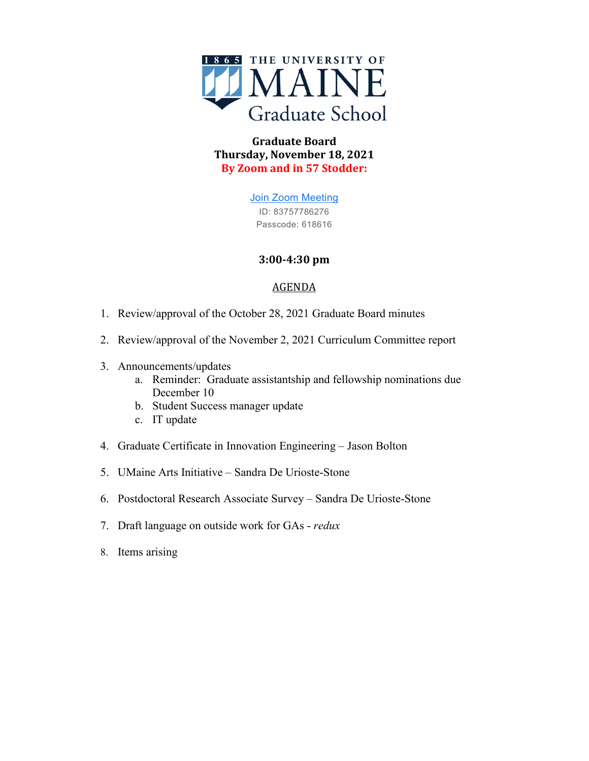

# **Graduate Board Thursday, November 18, 2021 By Zoom and in 57 Stodder:**

[Join Zoom Meeting](https://www.google.com/url?q=https://maine.zoom.us/j/83757786276?pwd%3DeExacEpYUnpzYno5cGtRb0N3L3FZZz09&sa=D&source=calendar&ust=1637507974045777&usg=AOvVaw0A_BYMCHbw_M9phloCwJyt) ID: 83757786276 Passcode: 618616

# **3:00-4:30 pm**

# AGENDA

- 1. Review/approval of the October 28, 2021 Graduate Board minutes
- 2. Review/approval of the November 2, 2021 Curriculum Committee report
- 3. Announcements/updates
	- a. Reminder: Graduate assistantship and fellowship nominations due December 10
	- b. Student Success manager update
	- c. IT update
- 4. Graduate Certificate in Innovation Engineering Jason Bolton
- 5. UMaine Arts Initiative Sandra De Urioste-Stone
- 6. Postdoctoral Research Associate Survey Sandra De Urioste-Stone
- 7. Draft language on outside work for GAs *redux*
- 8. Items arising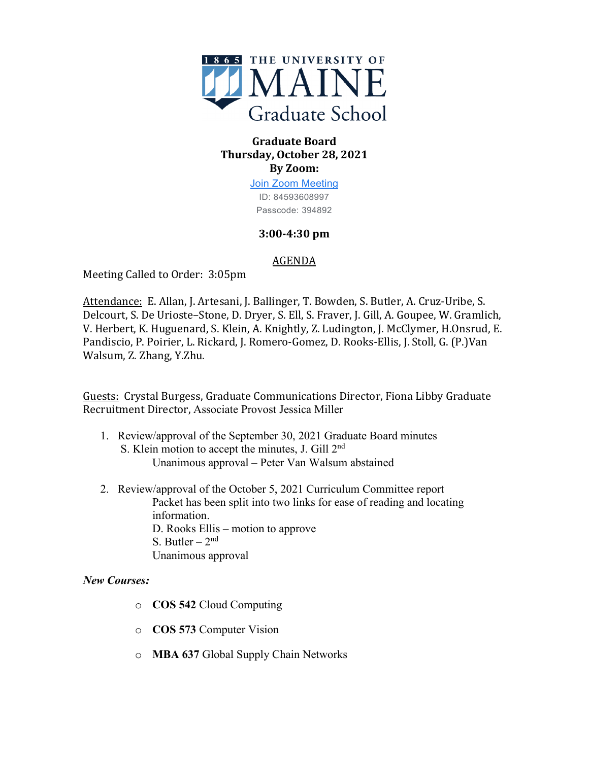

## **Graduate Board Thursday, October 28, 2021 By Zoom:**

[Join Zoom Meeting](https://www.google.com/url?q=https://maine.zoom.us/j/84593608997?pwd%3DbTYrR1FaeGhlTVA1YjBVaDgwYm9aQT09&sa=D&source=calendar&ust=1635685479000634&usg=AOvVaw0xr6DaIVEkm83YsLwVQRMY) ID: 84593608997 Passcode: 394892

# **3:00-4:30 pm**

### AGENDA

Meeting Called to Order: 3:05pm

Attendance: E. Allan, J. Artesani, J. Ballinger, T. Bowden, S. Butler, A. Cruz-Uribe, S. Delcourt, S. De Urioste–Stone, D. Dryer, S. Ell, S. Fraver, J. Gill, A. Goupee, W. Gramlich, V. Herbert, K. Huguenard, S. Klein, A. Knightly, Z. Ludington, J. McClymer, H.Onsrud, E. Pandiscio, P. Poirier, L. Rickard, J. Romero-Gomez, D. Rooks-Ellis, J. Stoll, G. (P.)Van Walsum, Z. Zhang, Y.Zhu.

Guests: Crystal Burgess, Graduate Communications Director, Fiona Libby Graduate Recruitment Director, Associate Provost Jessica Miller

- 1. Review/approval of the September 30, 2021 Graduate Board minutes S. Klein motion to accept the minutes, J. Gill 2nd Unanimous approval – Peter Van Walsum abstained
- 2. Review/approval of the October 5, 2021 Curriculum Committee report Packet has been split into two links for ease of reading and locating information. D. Rooks Ellis – motion to approve S. Butler –  $2<sup>nd</sup>$ Unanimous approval

# *New Courses:*

- o **COS 542** Cloud Computing
- o **COS 573** Computer Vision
- o **MBA 637** Global Supply Chain Networks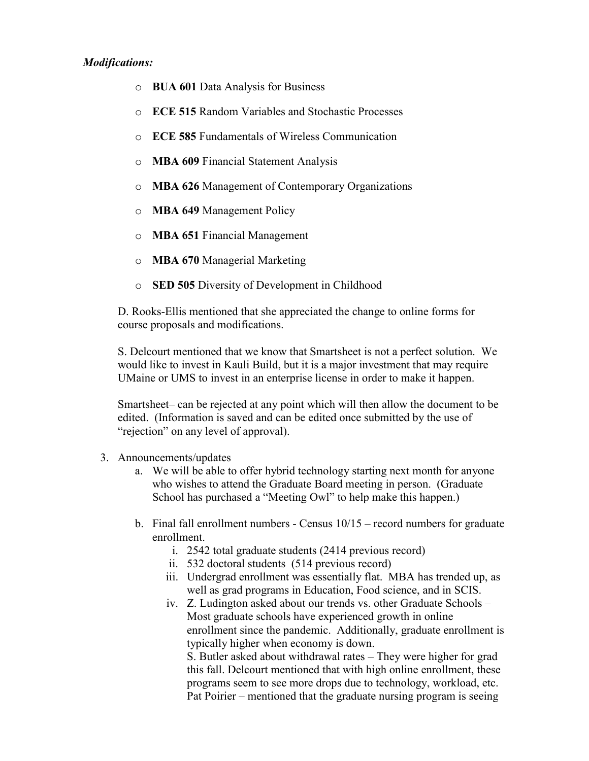#### *Modifications:*

- o **BUA 601** Data Analysis for Business
- o **ECE 515** Random Variables and Stochastic Processes
- o **ECE 585** Fundamentals of Wireless Communication
- o **MBA 609** Financial Statement Analysis
- o **MBA 626** Management of Contemporary Organizations
- o **MBA 649** Management Policy
- o **MBA 651** Financial Management
- o **MBA 670** Managerial Marketing
- o **SED 505** Diversity of Development in Childhood

D. Rooks-Ellis mentioned that she appreciated the change to online forms for course proposals and modifications.

S. Delcourt mentioned that we know that Smartsheet is not a perfect solution. We would like to invest in Kauli Build, but it is a major investment that may require UMaine or UMS to invest in an enterprise license in order to make it happen.

Smartsheet– can be rejected at any point which will then allow the document to be edited. (Information is saved and can be edited once submitted by the use of "rejection" on any level of approval).

- 3. Announcements/updates
	- a. We will be able to offer hybrid technology starting next month for anyone who wishes to attend the Graduate Board meeting in person. (Graduate School has purchased a "Meeting Owl" to help make this happen.)
	- b. Final fall enrollment numbers Census  $10/15$  record numbers for graduate enrollment.
		- i. 2542 total graduate students (2414 previous record)
		- ii. 532 doctoral students (514 previous record)
		- iii. Undergrad enrollment was essentially flat. MBA has trended up, as well as grad programs in Education, Food science, and in SCIS.
		- iv. Z. Ludington asked about our trends vs. other Graduate Schools Most graduate schools have experienced growth in online enrollment since the pandemic. Additionally, graduate enrollment is typically higher when economy is down.

S. Butler asked about withdrawal rates – They were higher for grad this fall. Delcourt mentioned that with high online enrollment, these programs seem to see more drops due to technology, workload, etc. Pat Poirier – mentioned that the graduate nursing program is seeing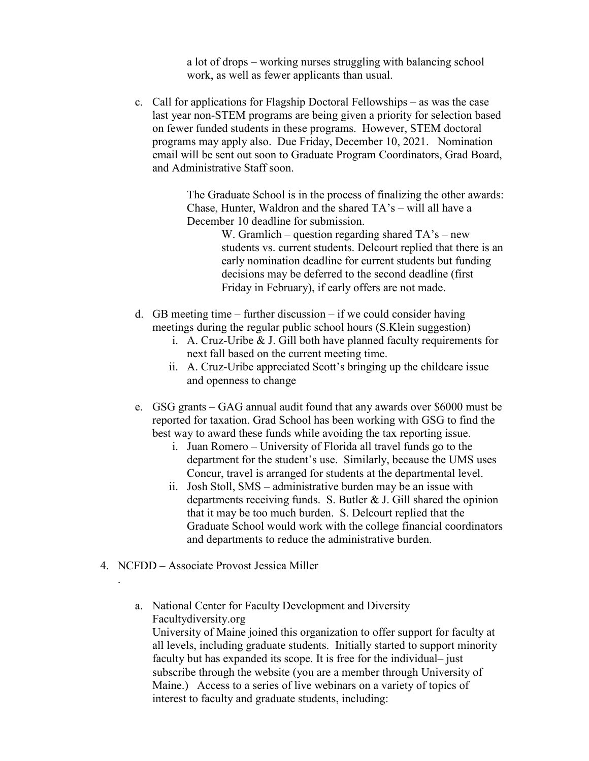a lot of drops – working nurses struggling with balancing school work, as well as fewer applicants than usual.

c. Call for applications for Flagship Doctoral Fellowships – as was the case last year non-STEM programs are being given a priority for selection based on fewer funded students in these programs. However, STEM doctoral programs may apply also. Due Friday, December 10, 2021. Nomination email will be sent out soon to Graduate Program Coordinators, Grad Board, and Administrative Staff soon.

> The Graduate School is in the process of finalizing the other awards: Chase, Hunter, Waldron and the shared TA's – will all have a December 10 deadline for submission.

> > W. Gramlich – question regarding shared  $TA$ 's – new students vs. current students. Delcourt replied that there is an early nomination deadline for current students but funding decisions may be deferred to the second deadline (first Friday in February), if early offers are not made.

- d. GB meeting time further discussion if we could consider having meetings during the regular public school hours (S.Klein suggestion)
	- i. A. Cruz-Uribe & J. Gill both have planned faculty requirements for next fall based on the current meeting time.
	- ii. A. Cruz-Uribe appreciated Scott's bringing up the childcare issue and openness to change
- e. GSG grants GAG annual audit found that any awards over \$6000 must be reported for taxation. Grad School has been working with GSG to find the best way to award these funds while avoiding the tax reporting issue.
	- i. Juan Romero University of Florida all travel funds go to the department for the student's use. Similarly, because the UMS uses Concur, travel is arranged for students at the departmental level.
	- ii. Josh Stoll, SMS administrative burden may be an issue with departments receiving funds. S. Butler & J. Gill shared the opinion that it may be too much burden. S. Delcourt replied that the Graduate School would work with the college financial coordinators and departments to reduce the administrative burden.
- 4. NCFDD Associate Provost Jessica Miller

.

a. National Center for Faculty Development and Diversity Facultydiversity.org University of Maine joined this organization to offer support for faculty at

all levels, including graduate students. Initially started to support minority faculty but has expanded its scope. It is free for the individual– just subscribe through the website (you are a member through University of Maine.) Access to a series of live webinars on a variety of topics of interest to faculty and graduate students, including: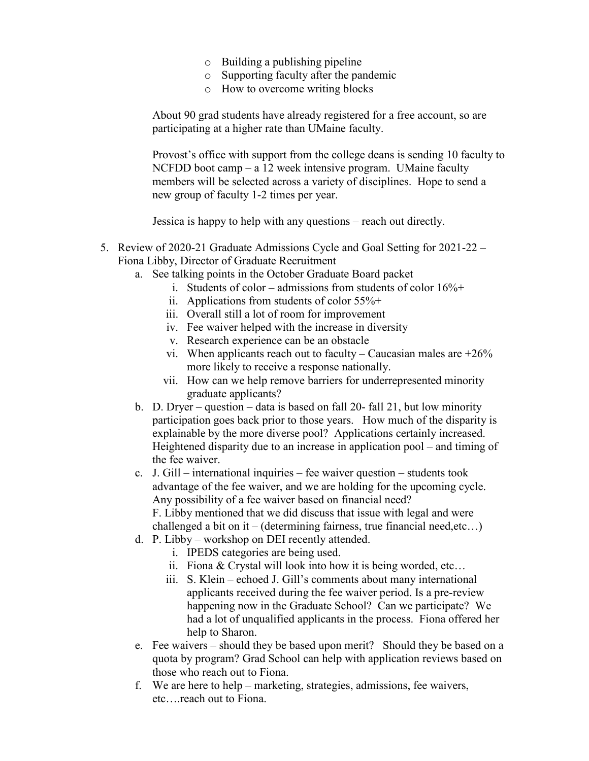- o Building a publishing pipeline
- o Supporting faculty after the pandemic
- o How to overcome writing blocks

About 90 grad students have already registered for a free account, so are participating at a higher rate than UMaine faculty.

Provost's office with support from the college deans is sending 10 faculty to NCFDD boot camp – a 12 week intensive program. UMaine faculty members will be selected across a variety of disciplines. Hope to send a new group of faculty 1-2 times per year.

Jessica is happy to help with any questions – reach out directly.

- 5. Review of 2020-21 Graduate Admissions Cycle and Goal Setting for 2021-22 Fiona Libby, Director of Graduate Recruitment
	- a. See talking points in the October Graduate Board packet
		- i. Students of color admissions from students of color  $16\% +$
		- ii. Applications from students of color 55%+
		- iii. Overall still a lot of room for improvement
		- iv. Fee waiver helped with the increase in diversity
		- v. Research experience can be an obstacle
		- vi. When applicants reach out to faculty Caucasian males are  $+26\%$ more likely to receive a response nationally.
		- vii. How can we help remove barriers for underrepresented minority graduate applicants?
	- b. D. Dryer question data is based on fall 20- fall 21, but low minority participation goes back prior to those years. How much of the disparity is explainable by the more diverse pool? Applications certainly increased. Heightened disparity due to an increase in application pool – and timing of the fee waiver.
	- c. J. Gill international inquiries fee waiver question students took advantage of the fee waiver, and we are holding for the upcoming cycle. Any possibility of a fee waiver based on financial need? F. Libby mentioned that we did discuss that issue with legal and were

challenged a bit on it – (determining fairness, true financial need,etc…)

- d. P. Libby workshop on DEI recently attended.
	- i. IPEDS categories are being used.
	- ii. Fiona & Crystal will look into how it is being worded, etc…
	- iii. S. Klein echoed J. Gill's comments about many international applicants received during the fee waiver period. Is a pre-review happening now in the Graduate School? Can we participate? We had a lot of unqualified applicants in the process. Fiona offered her help to Sharon.
- e. Fee waivers should they be based upon merit? Should they be based on a quota by program? Grad School can help with application reviews based on those who reach out to Fiona.
- f. We are here to help marketing, strategies, admissions, fee waivers, etc….reach out to Fiona.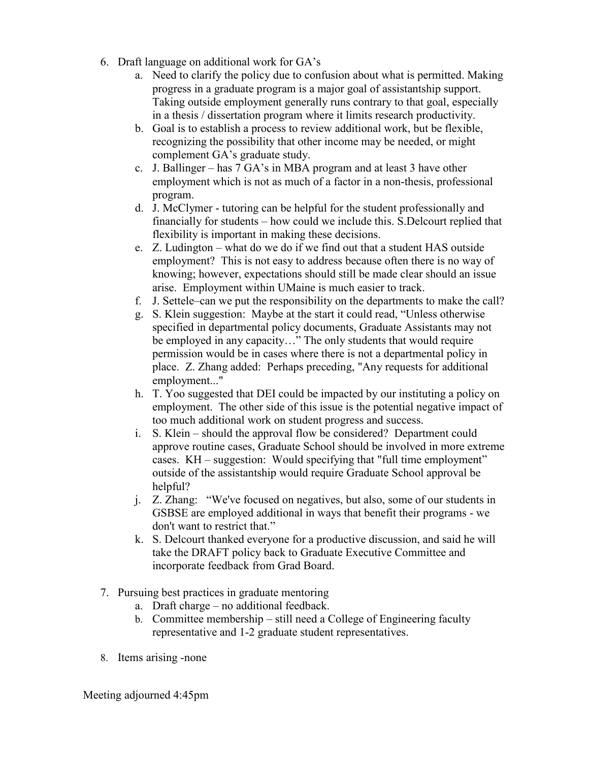- 6. Draft language on additional work for GA's
	- a. Need to clarify the policy due to confusion about what is permitted. Making progress in a graduate program is a major goal of assistantship support. Taking outside employment generally runs contrary to that goal, especially in a thesis / dissertation program where it limits research productivity.
	- b. Goal is to establish a process to review additional work, but be flexible, recognizing the possibility that other income may be needed, or might complement GA's graduate study.
	- c. J. Ballinger has 7 GA's in MBA program and at least 3 have other employment which is not as much of a factor in a non-thesis, professional program.
	- d. J. McClymer tutoring can be helpful for the student professionally and financially for students – how could we include this. S.Delcourt replied that flexibility is important in making these decisions.
	- e. Z. Ludington what do we do if we find out that a student HAS outside employment? This is not easy to address because often there is no way of knowing; however, expectations should still be made clear should an issue arise. Employment within UMaine is much easier to track.
	- f. J. Settele–can we put the responsibility on the departments to make the call?
	- g. S. Klein suggestion: Maybe at the start it could read, "Unless otherwise specified in departmental policy documents, Graduate Assistants may not be employed in any capacity…" The only students that would require permission would be in cases where there is not a departmental policy in place. Z. Zhang added: Perhaps preceding, "Any requests for additional employment..."
	- h. T. Yoo suggested that DEI could be impacted by our instituting a policy on employment. The other side of this issue is the potential negative impact of too much additional work on student progress and success.
	- i. S. Klein should the approval flow be considered? Department could approve routine cases, Graduate School should be involved in more extreme cases. KH – suggestion: Would specifying that "full time employment" outside of the assistantship would require Graduate School approval be helpful?
	- j. Z. Zhang: "We've focused on negatives, but also, some of our students in GSBSE are employed additional in ways that benefit their programs - we don't want to restrict that."
	- k. S. Delcourt thanked everyone for a productive discussion, and said he will take the DRAFT policy back to Graduate Executive Committee and incorporate feedback from Grad Board.
- 7. Pursuing best practices in graduate mentoring
	- a. Draft charge no additional feedback.
	- b. Committee membership still need a College of Engineering faculty representative and 1-2 graduate student representatives.
- 8. Items arising -none

Meeting adjourned 4:45pm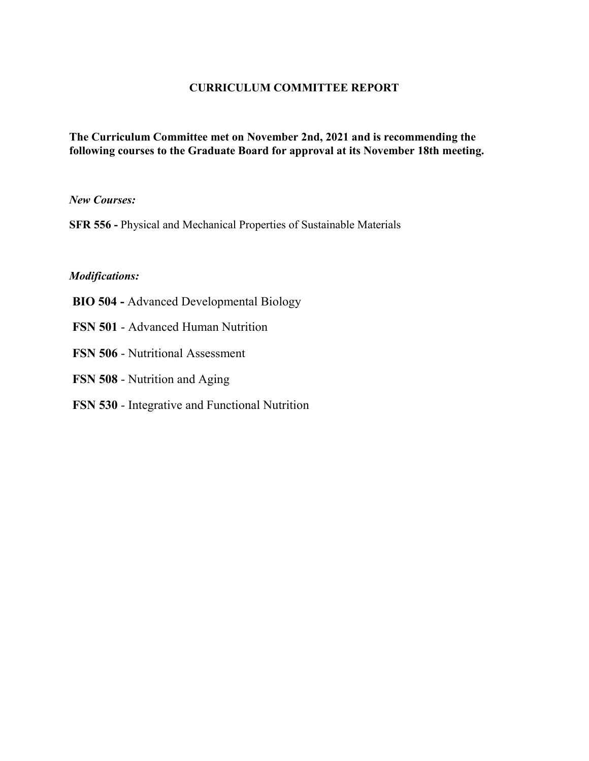### **CURRICULUM COMMITTEE REPORT**

### **The Curriculum Committee met on November 2nd, 2021 and is recommending the following courses to the Graduate Board for approval at its November 18th meeting.**

*New Courses:*

**SFR 556 -** Physical and Mechanical Properties of Sustainable Materials

#### *Modifications:*

- **BIO 504 -** Advanced Developmental Biology
- **FSN 501** Advanced Human Nutrition
- **FSN 506** Nutritional Assessment
- **FSN 508** Nutrition and Aging
- **FSN 530** Integrative and Functional Nutrition